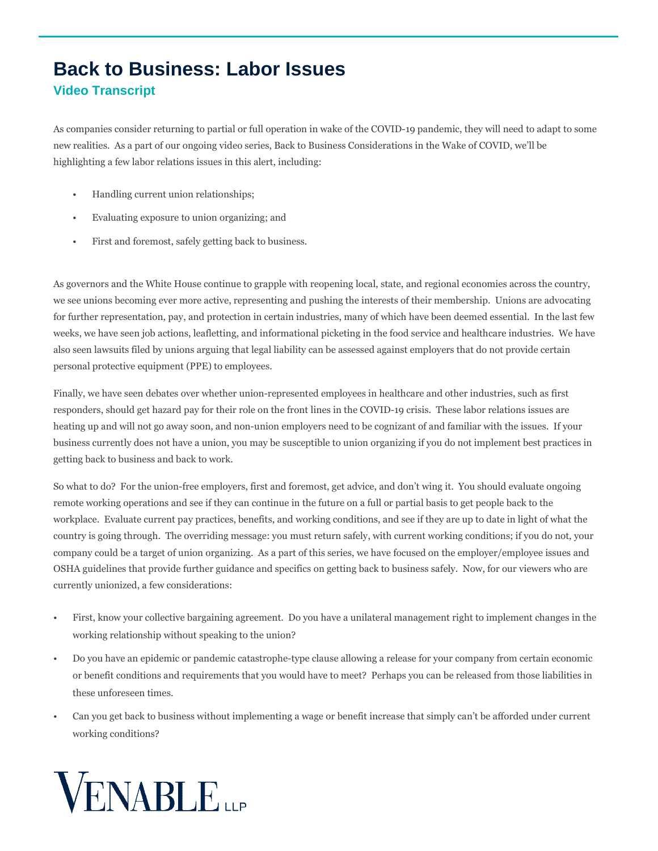## **Back to Business: Labor Issues Video Transcript**

As companies consider returning to partial or full operation in wake of the COVID-19 pandemic, they will need to adapt to some new realities. As a part of our ongoing video series, Back to Business Considerations in the Wake of COVID, we'll be highlighting a few labor relations issues in this alert, including:

- Handling current union relationships;
- Evaluating exposure to union organizing; and
- First and foremost, safely getting back to business.

As governors and the White House continue to grapple with reopening local, state, and regional economies across the country, we see unions becoming ever more active, representing and pushing the interests of their membership. Unions are advocating for further representation, pay, and protection in certain industries, many of which have been deemed essential. In the last few weeks, we have seen job actions, leafletting, and informational picketing in the food service and healthcare industries. We have also seen lawsuits filed by unions arguing that legal liability can be assessed against employers that do not provide certain personal protective equipment (PPE) to employees.

Finally, we have seen debates over whether union-represented employees in healthcare and other industries, such as first responders, should get hazard pay for their role on the front lines in the COVID-19 crisis. These labor relations issues are heating up and will not go away soon, and non-union employers need to be cognizant of and familiar with the issues. If your business currently does not have a union, you may be susceptible to union organizing if you do not implement best practices in getting back to business and back to work.

So what to do? For the union-free employers, first and foremost, get advice, and don't wing it. You should evaluate ongoing remote working operations and see if they can continue in the future on a full or partial basis to get people back to the workplace. Evaluate current pay practices, benefits, and working conditions, and see if they are up to date in light of what the country is going through. The overriding message: you must return safely, with current working conditions; if you do not, your company could be a target of union organizing. As a part of this series, we have focused on the employer/employee issues and OSHA guidelines that provide further guidance and specifics on getting back to business safely. Now, for our viewers who are currently unionized, a few considerations:

- First, know your collective bargaining agreement. Do you have a unilateral management right to implement changes in the working relationship without speaking to the union?
- Do you have an epidemic or pandemic catastrophe-type clause allowing a release for your company from certain economic or benefit conditions and requirements that you would have to meet? Perhaps you can be released from those liabilities in these unforeseen times.
- Can you get back to business without implementing a wage or benefit increase that simply can't be afforded under current working conditions?